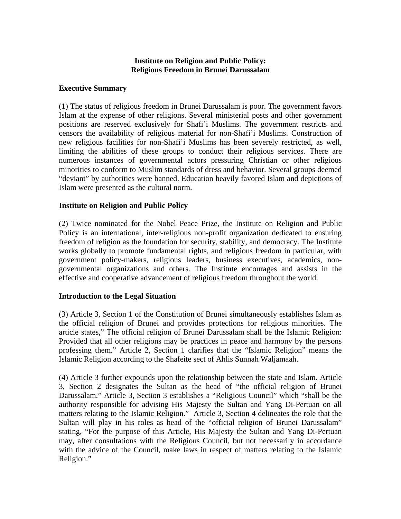# **Institute on Religion and Public Policy: Religious Freedom in Brunei Darussalam**

### **Executive Summary**

(1) The status of religious freedom in Brunei Darussalam is poor. The government favors Islam at the expense of other religions. Several ministerial posts and other government positions are reserved exclusively for Shafi'i Muslims. The government restricts and censors the availability of religious material for non-Shafi'i Muslims. Construction of new religious facilities for non-Shafi'i Muslims has been severely restricted, as well, limiting the abilities of these groups to conduct their religious services. There are numerous instances of governmental actors pressuring Christian or other religious minorities to conform to Muslim standards of dress and behavior. Several groups deemed "deviant" by authorities were banned. Education heavily favored Islam and depictions of Islam were presented as the cultural norm.

## **Institute on Religion and Public Policy**

(2) Twice nominated for the Nobel Peace Prize, the Institute on Religion and Public Policy is an international, inter-religious non-profit organization dedicated to ensuring freedom of religion as the foundation for security, stability, and democracy. The Institute works globally to promote fundamental rights, and religious freedom in particular, with government policy-makers, religious leaders, business executives, academics, nongovernmental organizations and others. The Institute encourages and assists in the effective and cooperative advancement of religious freedom throughout the world.

### **Introduction to the Legal Situation**

(3) Article 3, Section 1 of the Constitution of Brunei simultaneously establishes Islam as the official religion of Brunei and provides protections for religious minorities. The article states," The official religion of Brunei Darussalam shall be the Islamic Religion: Provided that all other religions may be practices in peace and harmony by the persons professing them." Article 2, Section 1 clarifies that the "Islamic Religion" means the Islamic Religion according to the Shafeite sect of Ahlis Sunnah Waljamaah.

(4) Article 3 further expounds upon the relationship between the state and Islam. Article 3, Section 2 designates the Sultan as the head of "the official religion of Brunei Darussalam." Article 3, Section 3 establishes a "Religious Council" which "shall be the authority responsible for advising His Majesty the Sultan and Yang Di-Pertuan on all matters relating to the Islamic Religion." Article 3, Section 4 delineates the role that the Sultan will play in his roles as head of the "official religion of Brunei Darussalam" stating, "For the purpose of this Article, His Majesty the Sultan and Yang Di-Pertuan may, after consultations with the Religious Council, but not necessarily in accordance with the advice of the Council, make laws in respect of matters relating to the Islamic Religion."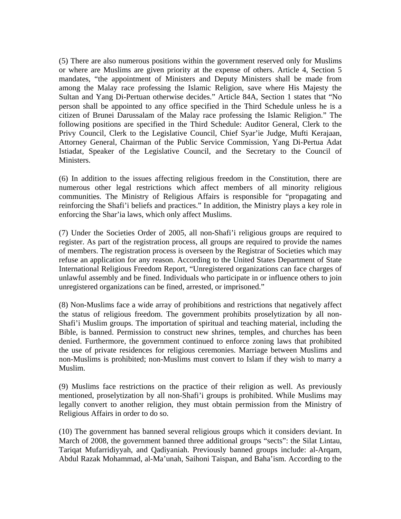(5) There are also numerous positions within the government reserved only for Muslims or where are Muslims are given priority at the expense of others. Article 4, Section 5 mandates, "the appointment of Ministers and Deputy Ministers shall be made from among the Malay race professing the Islamic Religion, save where His Majesty the Sultan and Yang Di-Pertuan otherwise decides." Article 84A, Section 1 states that "No person shall be appointed to any office specified in the Third Schedule unless he is a citizen of Brunei Darussalam of the Malay race professing the Islamic Religion." The following positions are specified in the Third Schedule: Auditor General, Clerk to the Privy Council, Clerk to the Legislative Council, Chief Syar'ie Judge, Mufti Kerajaan, Attorney General, Chairman of the Public Service Commission, Yang Di-Pertua Adat Istiadat, Speaker of the Legislative Council, and the Secretary to the Council of Ministers.

(6) In addition to the issues affecting religious freedom in the Constitution, there are numerous other legal restrictions which affect members of all minority religious communities. The Ministry of Religious Affairs is responsible for "propagating and reinforcing the Shafi'i beliefs and practices." In addition, the Ministry plays a key role in enforcing the Shar'ia laws, which only affect Muslims.

(7) Under the Societies Order of 2005, all non-Shafi'i religious groups are required to register. As part of the registration process, all groups are required to provide the names of members. The registration process is overseen by the Registrar of Societies which may refuse an application for any reason. According to the United States Department of State International Religious Freedom Report, "Unregistered organizations can face charges of unlawful assembly and be fined. Individuals who participate in or influence others to join unregistered organizations can be fined, arrested, or imprisoned."

(8) Non-Muslims face a wide array of prohibitions and restrictions that negatively affect the status of religious freedom. The government prohibits proselytization by all non-Shafi'i Muslim groups. The importation of spiritual and teaching material, including the Bible, is banned. Permission to construct new shrines, temples, and churches has been denied. Furthermore, the government continued to enforce zoning laws that prohibited the use of private residences for religious ceremonies. Marriage between Muslims and non-Muslims is prohibited; non-Muslims must convert to Islam if they wish to marry a Muslim.

(9) Muslims face restrictions on the practice of their religion as well. As previously mentioned, proselytization by all non-Shafi'i groups is prohibited. While Muslims may legally convert to another religion, they must obtain permission from the Ministry of Religious Affairs in order to do so.

(10) The government has banned several religious groups which it considers deviant. In March of 2008, the government banned three additional groups "sects": the Silat Lintau, Tariqat Mufarridiyyah, and Qadiyaniah. Previously banned groups include: al-Arqam, Abdul Razak Mohammad, al-Ma'unah, Saihoni Taispan, and Baha'ism. According to the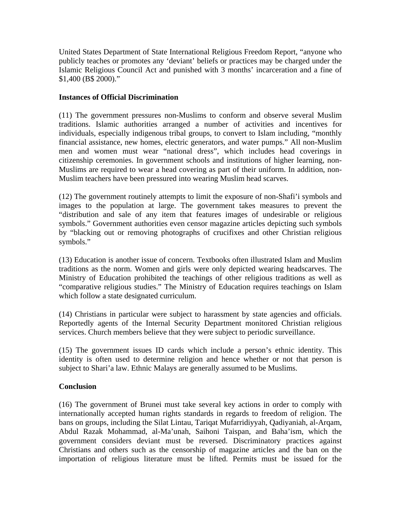United States Department of State International Religious Freedom Report, "anyone who publicly teaches or promotes any 'deviant' beliefs or practices may be charged under the Islamic Religious Council Act and punished with 3 months' incarceration and a fine of \$1,400 (B\$ 2000)."

## **Instances of Official Discrimination**

(11) The government pressures non-Muslims to conform and observe several Muslim traditions. Islamic authorities arranged a number of activities and incentives for individuals, especially indigenous tribal groups, to convert to Islam including, "monthly financial assistance, new homes, electric generators, and water pumps." All non-Muslim men and women must wear "national dress", which includes head coverings in citizenship ceremonies. In government schools and institutions of higher learning, non-Muslims are required to wear a head covering as part of their uniform. In addition, non-Muslim teachers have been pressured into wearing Muslim head scarves.

(12) The government routinely attempts to limit the exposure of non-Shafi'i symbols and images to the population at large. The government takes measures to prevent the "distribution and sale of any item that features images of undesirable or religious symbols." Government authorities even censor magazine articles depicting such symbols by "blacking out or removing photographs of crucifixes and other Christian religious symbols."

(13) Education is another issue of concern. Textbooks often illustrated Islam and Muslim traditions as the norm. Women and girls were only depicted wearing headscarves. The Ministry of Education prohibited the teachings of other religious traditions as well as "comparative religious studies." The Ministry of Education requires teachings on Islam which follow a state designated curriculum.

(14) Christians in particular were subject to harassment by state agencies and officials. Reportedly agents of the Internal Security Department monitored Christian religious services. Church members believe that they were subject to periodic surveillance.

(15) The government issues ID cards which include a person's ethnic identity. This identity is often used to determine religion and hence whether or not that person is subject to Shari'a law. Ethnic Malays are generally assumed to be Muslims.

### **Conclusion**

(16) The government of Brunei must take several key actions in order to comply with internationally accepted human rights standards in regards to freedom of religion. The bans on groups, including the Silat Lintau, Tariqat Mufarridiyyah, Qadiyaniah, al-Arqam, Abdul Razak Mohammad, al-Ma'unah, Saihoni Taispan, and Baha'ism, which the government considers deviant must be reversed. Discriminatory practices against Christians and others such as the censorship of magazine articles and the ban on the importation of religious literature must be lifted. Permits must be issued for the